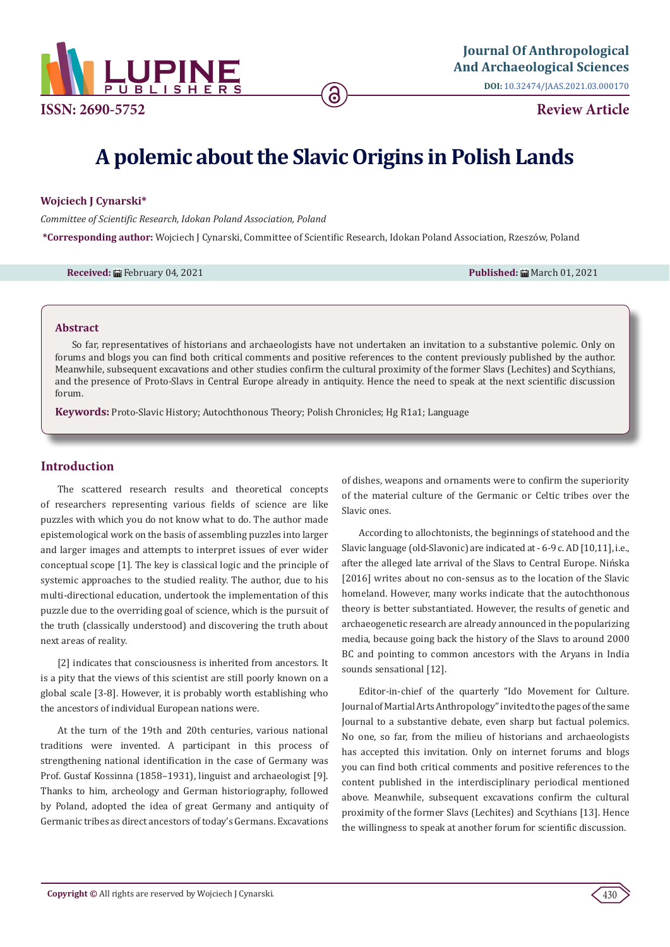

**Review Article**

# **A polemic about the Slavic Origins in Polish Lands**

## **Wojciech J Cynarski\***

*Committee of Scientific Research, Idokan Poland Association, Poland*

**\*Corresponding author:** Wojciech J Cynarski, Committee of Scientific Research, Idokan Poland Association, Rzeszów, Poland

**Received:** ■ February 04, 2021 **Published:** ■ March 01, 2021 **Published:** ■ March 01, 2021

#### **Abstract**

So far, representatives of historians and archaeologists have not undertaken an invitation to a substantive polemic. Only on forums and blogs you can find both critical comments and positive references to the content previously published by the author. Meanwhile, subsequent excavations and other studies confirm the cultural proximity of the former Slavs (Lechites) and Scythians, and the presence of Proto-Slavs in Central Europe already in antiquity. Hence the need to speak at the next scientific discussion forum.

**Keywords:** Proto-Slavic History; Autochthonous Theory; Polish Chronicles; Hg R1a1; Language

# **Introduction**

The scattered research results and theoretical concepts of researchers representing various fields of science are like puzzles with which you do not know what to do. The author made epistemological work on the basis of assembling puzzles into larger and larger images and attempts to interpret issues of ever wider conceptual scope [1]. The key is classical logic and the principle of systemic approaches to the studied reality. The author, due to his multi-directional education, undertook the implementation of this puzzle due to the overriding goal of science, which is the pursuit of the truth (classically understood) and discovering the truth about next areas of reality.

[2] indicates that consciousness is inherited from ancestors. It is a pity that the views of this scientist are still poorly known on a global scale [3-8]. However, it is probably worth establishing who the ancestors of individual European nations were.

At the turn of the 19th and 20th centuries, various national traditions were invented. A participant in this process of strengthening national identification in the case of Germany was Prof. Gustaf Kossinna (1858–1931), linguist and archaeologist [9]. Thanks to him, archeology and German historiography, followed by Poland, adopted the idea of great Germany and antiquity of Germanic tribes as direct ancestors of today's Germans. Excavations

of dishes, weapons and ornaments were to confirm the superiority of the material culture of the Germanic or Celtic tribes over the Slavic ones.

According to allochtonists, the beginnings of statehood and the Slavic language (old-Slavonic) are indicated at - 6-9 c. AD [10,11], i.e., after the alleged late arrival of the Slavs to Central Europe. Nińska [2016] writes about no con-sensus as to the location of the Slavic homeland. However, many works indicate that the autochthonous theory is better substantiated. However, the results of genetic and archaeogenetic research are already announced in the popularizing media, because going back the history of the Slavs to around 2000 BC and pointing to common ancestors with the Aryans in India sounds sensational [12].

Editor-in-chief of the quarterly "Ido Movement for Culture. Journal of Martial Arts Anthropology" invited to the pages of the same Journal to a substantive debate, even sharp but factual polemics. No one, so far, from the milieu of historians and archaeologists has accepted this invitation. Only on internet forums and blogs you can find both critical comments and positive references to the content published in the interdisciplinary periodical mentioned above. Meanwhile, subsequent excavations confirm the cultural proximity of the former Slavs (Lechites) and Scythians [13]. Hence the willingness to speak at another forum for scientific discussion.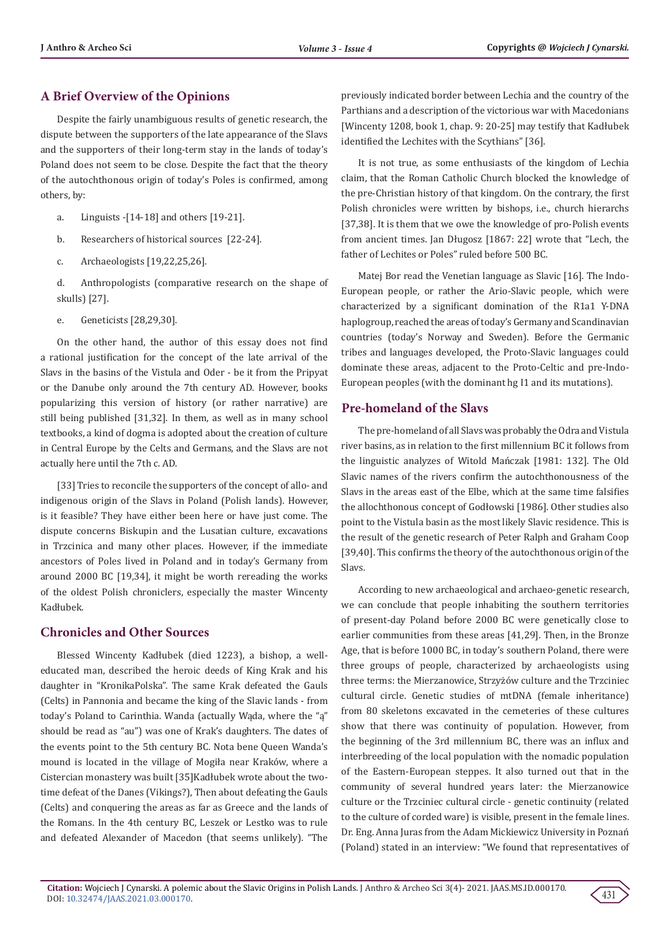# **A Brief Overview of the Opinions**

Despite the fairly unambiguous results of genetic research, the dispute between the supporters of the late appearance of the Slavs and the supporters of their long-term stay in the lands of today's Poland does not seem to be close. Despite the fact that the theory of the autochthonous origin of today's Poles is confirmed, among others, by:

- a. Linguists -[14-18] and others [19-21].
- b. Researchers of historical sources [22-24].
- c. Archaeologists [19,22,25,26].

d. Anthropologists (comparative research on the shape of skulls) [27].

e. Geneticists [28,29,30].

On the other hand, the author of this essay does not find a rational justification for the concept of the late arrival of the Slavs in the basins of the Vistula and Oder - be it from the Pripyat or the Danube only around the 7th century AD. However, books popularizing this version of history (or rather narrative) are still being published [31,32]. In them, as well as in many school textbooks, a kind of dogma is adopted about the creation of culture in Central Europe by the Celts and Germans, and the Slavs are not actually here until the 7th c. AD.

[33] Tries to reconcile the supporters of the concept of allo- and indigenous origin of the Slavs in Poland (Polish lands). However, is it feasible? They have either been here or have just come. The dispute concerns Biskupin and the Lusatian culture, excavations in Trzcinica and many other places. However, if the immediate ancestors of Poles lived in Poland and in today's Germany from around 2000 BC [19,34], it might be worth rereading the works of the oldest Polish chroniclers, especially the master Wincenty Kadłubek.

# **Chronicles and Other Sources**

Blessed Wincenty Kadłubek (died 1223), a bishop, a welleducated man, described the heroic deeds of King Krak and his daughter in "KronikaPolska". The same Krak defeated the Gauls (Celts) in Pannonia and became the king of the Slavic lands - from today's Poland to Carinthia. Wanda (actually Wąda, where the "ą" should be read as "au") was one of Krak's daughters. The dates of the events point to the 5th century BC. Nota bene Queen Wanda's mound is located in the village of Mogiła near Kraków, where a Cistercian monastery was built [35]Kadłubek wrote about the twotime defeat of the Danes (Vikings?), Then about defeating the Gauls (Celts) and conquering the areas as far as Greece and the lands of the Romans. In the 4th century BC, Leszek or Lestko was to rule and defeated Alexander of Macedon (that seems unlikely). "The

previously indicated border between Lechia and the country of the Parthians and a description of the victorious war with Macedonians [Wincenty 1208, book 1, chap. 9: 20-25] may testify that Kadłubek identified the Lechites with the Scythians" [36].

It is not true, as some enthusiasts of the kingdom of Lechia claim, that the Roman Catholic Church blocked the knowledge of the pre-Christian history of that kingdom. On the contrary, the first Polish chronicles were written by bishops, i.e., church hierarchs [37,38]. It is them that we owe the knowledge of pro-Polish events from ancient times. Jan Długosz [1867: 22] wrote that "Lech, the father of Lechites or Poles" ruled before 500 BC.

Matej Bor read the Venetian language as Slavic [16]. The Indo-European people, or rather the Ario-Slavic people, which were characterized by a significant domination of the R1a1 Y-DNA haplogroup, reached the areas of today's Germany and Scandinavian countries (today's Norway and Sweden). Before the Germanic tribes and languages developed, the Proto-Slavic languages could dominate these areas, adjacent to the Proto-Celtic and pre-Indo-European peoples (with the dominant hg I1 and its mutations).

# **Pre-homeland of the Slavs**

The pre-homeland of all Slavs was probably the Odra and Vistula river basins, as in relation to the first millennium BC it follows from the linguistic analyzes of Witold Mańczak [1981: 132]. The Old Slavic names of the rivers confirm the autochthonousness of the Slavs in the areas east of the Elbe, which at the same time falsifies the allochthonous concept of Godłowski [1986]. Other studies also point to the Vistula basin as the most likely Slavic residence. This is the result of the genetic research of Peter Ralph and Graham Coop [39,40]. This confirms the theory of the autochthonous origin of the Slavs.

According to new archaeological and archaeo-genetic research, we can conclude that people inhabiting the southern territories of present-day Poland before 2000 BC were genetically close to earlier communities from these areas [41,29]. Then, in the Bronze Age, that is before 1000 BC, in today's southern Poland, there were three groups of people, characterized by archaeologists using three terms: the Mierzanowice, Strzyżów culture and the Trzciniec cultural circle. Genetic studies of mtDNA (female inheritance) from 80 skeletons excavated in the cemeteries of these cultures show that there was continuity of population. However, from the beginning of the 3rd millennium BC, there was an influx and interbreeding of the local population with the nomadic population of the Eastern-European steppes. It also turned out that in the community of several hundred years later: the Mierzanowice culture or the Trzciniec cultural circle - genetic continuity (related to the culture of corded ware) is visible, present in the female lines. Dr. Eng. Anna Juras from the Adam Mickiewicz University in Poznań (Poland) stated in an interview: "We found that representatives of

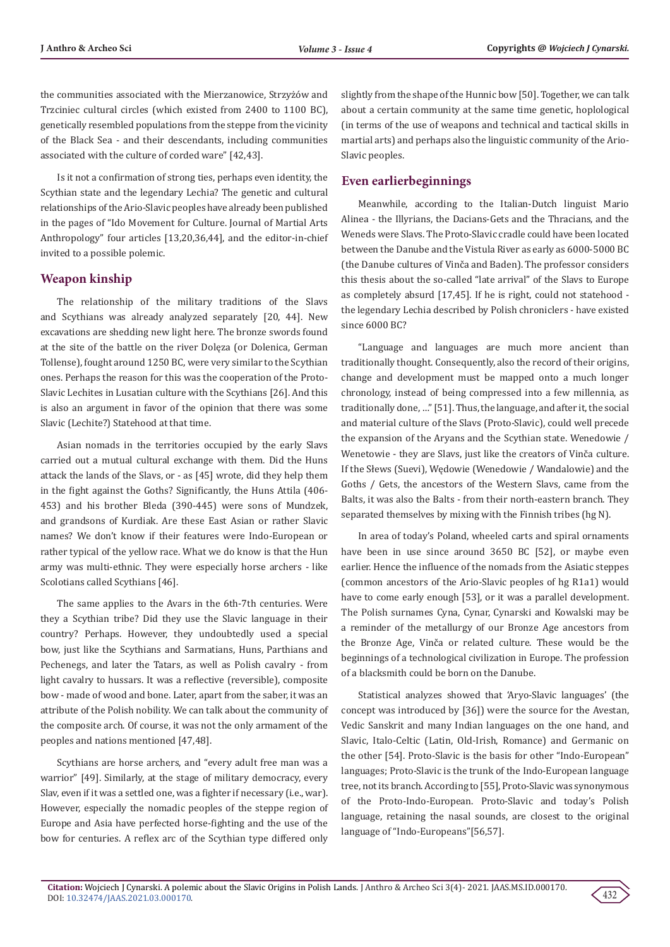the communities associated with the Mierzanowice, Strzyżów and Trzciniec cultural circles (which existed from 2400 to 1100 BC), genetically resembled populations from the steppe from the vicinity of the Black Sea - and their descendants, including communities associated with the culture of corded ware" [42,43].

Is it not a confirmation of strong ties, perhaps even identity, the Scythian state and the legendary Lechia? The genetic and cultural relationships of the Ario-Slavic peoples have already been published in the pages of "Ido Movement for Culture. Journal of Martial Arts Anthropology" four articles [13,20,36,44], and the editor-in-chief invited to a possible polemic.

## **Weapon kinship**

The relationship of the military traditions of the Slavs and Scythians was already analyzed separately [20, 44]. New excavations are shedding new light here. The bronze swords found at the site of the battle on the river Dolęza (or Dolenica, German Tollense), fought around 1250 BC, were very similar to the Scythian ones. Perhaps the reason for this was the cooperation of the Proto-Slavic Lechites in Lusatian culture with the Scythians [26]. And this is also an argument in favor of the opinion that there was some Slavic (Lechite?) Statehood at that time.

Asian nomads in the territories occupied by the early Slavs carried out a mutual cultural exchange with them. Did the Huns attack the lands of the Slavs, or - as [45] wrote, did they help them in the fight against the Goths? Significantly, the Huns Attila (406- 453) and his brother Bleda (390-445) were sons of Mundzek, and grandsons of Kurdiak. Are these East Asian or rather Slavic names? We don't know if their features were Indo-European or rather typical of the yellow race. What we do know is that the Hun army was multi-ethnic. They were especially horse archers - like Scolotians called Scythians [46].

The same applies to the Avars in the 6th-7th centuries. Were they a Scythian tribe? Did they use the Slavic language in their country? Perhaps. However, they undoubtedly used a special bow, just like the Scythians and Sarmatians, Huns, Parthians and Pechenegs, and later the Tatars, as well as Polish cavalry - from light cavalry to hussars. It was a reflective (reversible), composite bow - made of wood and bone. Later, apart from the saber, it was an attribute of the Polish nobility. We can talk about the community of the composite arch. Of course, it was not the only armament of the peoples and nations mentioned [47,48].

Scythians are horse archers, and "every adult free man was a warrior" [49]. Similarly, at the stage of military democracy, every Slav, even if it was a settled one, was a fighter if necessary (i.e., war). However, especially the nomadic peoples of the steppe region of Europe and Asia have perfected horse-fighting and the use of the bow for centuries. A reflex arc of the Scythian type differed only

slightly from the shape of the Hunnic bow [50]. Together, we can talk about a certain community at the same time genetic, hoplological (in terms of the use of weapons and technical and tactical skills in martial arts) and perhaps also the linguistic community of the Ario-Slavic peoples.

## **Even earlierbeginnings**

Meanwhile, according to the Italian-Dutch linguist Mario Alinea - the Illyrians, the Dacians-Gets and the Thracians, and the Weneds were Slavs. The Proto-Slavic cradle could have been located between the Danube and the Vistula River as early as 6000-5000 BC (the Danube cultures of Vinča and Baden). The professor considers this thesis about the so-called "late arrival" of the Slavs to Europe as completely absurd [17,45]. If he is right, could not statehood the legendary Lechia described by Polish chroniclers - have existed since 6000 BC?

"Language and languages are much more ancient than traditionally thought. Consequently, also the record of their origins, change and development must be mapped onto a much longer chronology, instead of being compressed into a few millennia, as traditionally done, …" [51]. Thus, the language, and after it, the social and material culture of the Slavs (Proto-Slavic), could well precede the expansion of the Aryans and the Scythian state. Wenedowie / Wenetowie - they are Slavs, just like the creators of Vinča culture. If the Słews (Suevi), Wędowie (Wenedowie / Wandalowie) and the Goths / Gets, the ancestors of the Western Slavs, came from the Balts, it was also the Balts - from their north-eastern branch. They separated themselves by mixing with the Finnish tribes (hg N).

In area of today's Poland, wheeled carts and spiral ornaments have been in use since around 3650 BC [52], or maybe even earlier. Hence the influence of the nomads from the Asiatic steppes (common ancestors of the Ario-Slavic peoples of hg R1a1) would have to come early enough [53], or it was a parallel development. The Polish surnames Cyna, Cynar, Cynarski and Kowalski may be a reminder of the metallurgy of our Bronze Age ancestors from the Bronze Age, Vinča or related culture. These would be the beginnings of a technological civilization in Europe. The profession of a blacksmith could be born on the Danube.

Statistical analyzes showed that 'Aryo-Slavic languages' (the concept was introduced by [36]) were the source for the Avestan, Vedic Sanskrit and many Indian languages on the one hand, and Slavic, Italo-Celtic (Latin, Old-Irish, Romance) and Germanic on the other [54]. Proto-Slavic is the basis for other "Indo-European" languages; Proto-Slavic is the trunk of the Indo-European language tree, not its branch. According to [55], Proto-Slavic was synonymous of the Proto-Indo-European. Proto-Slavic and today's Polish language, retaining the nasal sounds, are closest to the original language of "Indo-Europeans"[56,57].

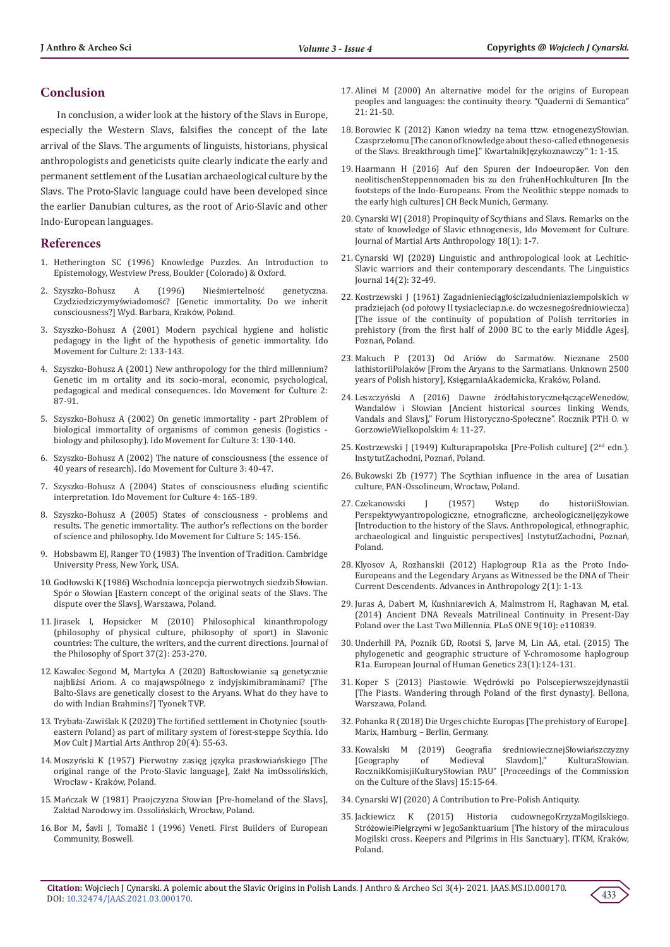# **Conclusion**

In conclusion, a wider look at the history of the Slavs in Europe, especially the Western Slavs, falsifies the concept of the late arrival of the Slavs. The arguments of linguists, historians, physical anthropologists and geneticists quite clearly indicate the early and permanent settlement of the Lusatian archaeological culture by the Slavs. The Proto-Slavic language could have been developed since the earlier Danubian cultures, as the root of Ario-Slavic and other Indo-European languages.

#### **References**

- 1. [Hetherington SC \(1996\) Knowledge Puzzles. An Introduction to](https://catalogue.nla.gov.au/Record/485726)  [Epistemology, Westview Press, Boulder \(Colorado\) & Oxford.](https://catalogue.nla.gov.au/Record/485726)
- 2. Szyszko-Bohusz A (1996) Nieśmiertelność genetyczna. Czydziedziczymyświadomość? [Genetic immortality. Do we inherit consciousness?] Wyd. Barbara, Kraków, Poland.
- 3. Szyszko-Bohusz A (2001) Modern psychical hygiene and holistic pedagogy in the light of the hypothesis of genetic immortality. Ido Movement for Culture 2: 133-143.
- 4. Szyszko-Bohusz A (2001) New anthropology for the third millennium? Genetic im m ortality and its socio-moral, economic, psychological, pedagogical and medical consequences. Ido Movement for Culture 2: 87-91.
- 5. Szyszko-Bohusz A (2002) On genetic immortality part 2Problem of biological immortality of organisms of common genesis (logistics biology and philosophy). Ido Movement for Culture 3: 130-140.
- 6. [Szyszko-Bohusz A \(2002\) The nature of consciousness \(the essence of](http://imcjournal.com/index.php/en/volume-iii-2002-03/contents-vol-iii/1261-the-nature-of-consciousness-the-essence-of-40-years-of-research)  [40 years of research\). Ido Movement for Culture 3: 40-47.](http://imcjournal.com/index.php/en/volume-iii-2002-03/contents-vol-iii/1261-the-nature-of-consciousness-the-essence-of-40-years-of-research)
- 7. Szyszko-Bohusz A (2004) States of consciousness eluding scientific interpretation. Ido Movement for Culture 4: 165-189.
- 8. [Szyszko-Bohusz A \(2005\) States of consciousness problems and](http://imcjournal.com/index.php/en/volume-v-2005/contents-vol-v/1021-states-of-consciousness-problems-and-results-the-genetic-immortality-the-author-s-reflections-on-the-border-of-science-and-philosophy)  [results. The genetic immortality. The author's reflections on the border](http://imcjournal.com/index.php/en/volume-v-2005/contents-vol-v/1021-states-of-consciousness-problems-and-results-the-genetic-immortality-the-author-s-reflections-on-the-border-of-science-and-philosophy)  [of science and philosophy. Ido Movement for Culture 5: 145-156.](http://imcjournal.com/index.php/en/volume-v-2005/contents-vol-v/1021-states-of-consciousness-problems-and-results-the-genetic-immortality-the-author-s-reflections-on-the-border-of-science-and-philosophy)
- 9. [Hobsbawm EJ, Ranger TO \(1983\) The Invention of Tradition. Cambridge](https://www.worldcat.org/title/invention-of-tradition/oclc/8763782)  [University Press, New York, USA.](https://www.worldcat.org/title/invention-of-tradition/oclc/8763782)
- 10. Godłowski K (1986) Wschodnia koncepcja pierwotnych siedzib Słowian. Spór o Słowian [Eastern concept of the original seats of the Slavs. The dispute over the Slavs], Warszawa, Poland.
- 11. [Jirasek I, Hopsicker M \(2010\) Philosophical kinanthropology](https://www.tandfonline.com/doi/abs/10.1080/00948705.2010.9714780)  [\(philosophy of physical culture, philosophy of sport\) in Slavonic](https://www.tandfonline.com/doi/abs/10.1080/00948705.2010.9714780)  [countries: The culture, the writers, and the current directions. Journal of](https://www.tandfonline.com/doi/abs/10.1080/00948705.2010.9714780)  [the Philosophy of Sport 37\(2\): 253-270.](https://www.tandfonline.com/doi/abs/10.1080/00948705.2010.9714780)
- 12. Kawalec-Segond M, Martyka A (2020) Bałtosłowianie są genetycznie najbliżsi Ariom. A co mająwspólnego z indyjskimibraminami? [The Balto-Slavs are genetically closest to the Aryans. What do they have to do with Indian Brahmins?] Tyonek TVP.
- 13. Trybała-Zawiś[lak K \(2020\) The fortified settlement in Chotyniec \(south](http://cejsh.icm.edu.pl/cejsh/element/bwmeta1.element.desklight-af885502-c32e-4fa7-b50f-330434670028)[eastern Poland\) as part of military system of forest-steppe Scythia. Ido](http://cejsh.icm.edu.pl/cejsh/element/bwmeta1.element.desklight-af885502-c32e-4fa7-b50f-330434670028)  [Mov Cult J Martial Arts Anthrop 20\(4\): 55-63.](http://cejsh.icm.edu.pl/cejsh/element/bwmeta1.element.desklight-af885502-c32e-4fa7-b50f-330434670028)
- 14. Moszyński K (1957) Pierwotny zasięg języka prasłowiańskiego [The original range of the Proto-Slavic language], Zakł Na imOssolińskich, Wrocław - Kraków, Poland.
- 15. Mańczak W (1981) Praojczyzna Słowian [Pre-homeland of the Slavs], Zakład Narodowy im. Ossolińskich, Wrocław, Poland.
- 16. Bor M, Šavli J, Tomažič I (1996) Veneti. First Builders of European Community, Boswell.
- 17. [Alinei M \(2000\) An alternative model for the origins of European](https://www.torrossa.com/it/resources/an/2206502) [peoples and languages: the continuity theory. "Quaderni di Semantica"](https://www.torrossa.com/it/resources/an/2206502) [21: 21-50.](https://www.torrossa.com/it/resources/an/2206502)
- 18. [Borowiec K \(2012\) Kanon wiedzy na tema ttzw. etnogenezyS](https://repozytorium.amu.edu.pl/handle/10593/12834)łowian. Czasprzeł[omu \[The canon of knowledge about the so-called ethnogenesis](https://repozytorium.amu.edu.pl/handle/10593/12834) [of the Slavs. Breakthrough time\]." KwartalnikJ](https://repozytorium.amu.edu.pl/handle/10593/12834)ęzykoznawczy" 1: 1-15.
- 19. Haarmann H (2016) Auf den Spuren der Indoeuropäer. Von den neolitischenSteppennomaden bis zu den frühenHochkulturen [In the footsteps of the Indo-Europeans. From the Neolithic steppe nomads to the early high cultures] CH Beck Munich, Germany.
- 20. [Cynarski WJ \(2018\) Propinquity of Scythians and Slavs. Remarks on the](http://imcjournal.com/index.php/en/volume-xviii-2018/contents-number-1/1313-propinquity-of-scythians-and-slavs-remarks-on-the-state-of-knowledge-of-slavic-ethnogenesis) [state of knowledge of Slavic ethnogenesis, Ido Movement for Culture.](http://imcjournal.com/index.php/en/volume-xviii-2018/contents-number-1/1313-propinquity-of-scythians-and-slavs-remarks-on-the-state-of-knowledge-of-slavic-ethnogenesis) [Journal of Martial Arts Anthropology 18\(1\): 1-7.](http://imcjournal.com/index.php/en/volume-xviii-2018/contents-number-1/1313-propinquity-of-scythians-and-slavs-remarks-on-the-state-of-knowledge-of-slavic-ethnogenesis)
- 21. Cynarski WJ (2020) Linguistic and anthropological look at Lechitic-Slavic warriors and their contemporary descendants. The Linguistics Journal 14(2): 32-49.
- 22. Kostrzewski J (1961) Zagadnienieciągłościzaludnieniaziempolskich w pradziejach (od połowy II tysiacleciap.n.e. do wczesnegośredniowiecza) [The issue of the continuity of population of Polish territories in prehistory (from the first half of 2000 BC to the early Middle Ages], Poznań, Poland.
- 23. Makuch P (2013) Od Ariów do Sarmatów. Nieznane 2500 lathistoriiPolaków [From the Aryans to the Sarmatians. Unknown 2500 years of Polish history], KsięgarniaAkademicka, Kraków, Poland.
- 24. Leszczyński A (2016) Dawne źródłahistorycznełącząceWenedów, Wandalów i Słowian [Ancient historical sources linking Wends, Vandals and Slavs]," Forum Historyczno-Społeczne". Rocznik PTH O. w GorzowieWielkopolskim 4: 11-27.
- 25. Kostrzewski J (1949) Kulturaprapolska [Pre-Polish culture] (2nd edn.). InstytutZachodni, Poznań, Poland.
- 26. Bukowski Zb (1977) The Scythian influence in the area of Lusatian culture, PAN-Ossolineum, Wrocław, Poland.
- 27. [Czekanowski J \(1957\) Wstęp do historiiS](https://beluga.sub.uni-hamburg.de/vufind/Record/1080752072)łowian. [Perspektywyantropologiczne, etnograficzne, archeologiczneijęzykowe](https://beluga.sub.uni-hamburg.de/vufind/Record/1080752072) [\[Introduction to the history of the Slavs. Anthropological, ethnographic,](https://beluga.sub.uni-hamburg.de/vufind/Record/1080752072) [archaeological and linguistic perspectives\] InstytutZachodni, Pozna](https://beluga.sub.uni-hamburg.de/vufind/Record/1080752072)ń, [Poland.](https://beluga.sub.uni-hamburg.de/vufind/Record/1080752072)
- 28. [Klyosov A, Rozhanskii \(2012\) Haplogroup R1a as the Proto Indo-](https://m.scirp.org/papers/17707)[Europeans and the Legendary Aryans as Witnessed be the DNA of Their](https://m.scirp.org/papers/17707) [Current Descendents. Advances in Anthropology 2\(1\): 1-13.](https://m.scirp.org/papers/17707)
- 29. [Juras A, Dabert M, Kushniarevich A, Malmstrom H, Raghavan M, etal.](https://journals.plos.org/plosone/article/figure?id=10.1371/journal.pone.0110839.t002) [\(2014\) Ancient DNA Reveals Matrilineal Continuity in Present-Day](https://journals.plos.org/plosone/article/figure?id=10.1371/journal.pone.0110839.t002) [Poland over the Last Two Millennia. PLoS ONE 9\(10\): e110839.](https://journals.plos.org/plosone/article/figure?id=10.1371/journal.pone.0110839.t002)
- 30. [Underhill PA, Poznik GD, Rootsi S, Jarve M, Lin AA, etal. \(2015\) The](https://pubmed.ncbi.nlm.nih.gov/24667786/) [phylogenetic and geographic structure of Y-chromosome haplogroup](https://pubmed.ncbi.nlm.nih.gov/24667786/) [R1a. European Journal of Human Genetics 23\(1\):124-131.](https://pubmed.ncbi.nlm.nih.gov/24667786/)
- 31. Koper S (2013) Piastowie. Wędrówki po Polscepierwszejdynastii [The Piasts. Wandering through Poland of the first dynasty]. Bellona, Warszawa, Poland.
- 32. Pohanka R (2018) Die Urges chichte Europas [The prehistory of Europe]. Marix, Hamburg – Berlin, Germany.
- 33. [Kowalski M \(2019\) Geografia](https://www.ejournals.eu/PKKS/2019/Vol-XV/art/15246/) średniowiecznejSłowiańszczyzny [\[Geography of Medieval Slavdom\]," KulturaS](https://www.ejournals.eu/PKKS/2019/Vol-XV/art/15246/)łowian. RocznikKomisjiKulturySł[owian PAU" \[Proceedings of the Commission](https://www.ejournals.eu/PKKS/2019/Vol-XV/art/15246/) [on the Culture of the Slavs\] 15:15-64.](https://www.ejournals.eu/PKKS/2019/Vol-XV/art/15246/)
- 34. [Cynarski WJ \(2020\) A Contribution to Pre-Polish Antiquity.](https://www.researchsquare.com/article/rs-88193/v1)
- 35. [Jackiewicz K \(2015\) Historia cudownegoKrzy](https://books.google.co.in/books/about/Historia_cudownego_Krzy%C5%BCa_Mogilskiego.html?id=9JPfoQEACAAJ&redir_esc=y)żaMogilskiego. StróżowieiPielgrzymi [w JegoSanktuarium \[The history of the miraculous](https://books.google.co.in/books/about/Historia_cudownego_Krzy%C5%BCa_Mogilskiego.html?id=9JPfoQEACAAJ&redir_esc=y) [Mogilski cross. Keepers and Pilgrims in His Sanctuary\]. ITKM, Krak](https://books.google.co.in/books/about/Historia_cudownego_Krzy%C5%BCa_Mogilskiego.html?id=9JPfoQEACAAJ&redir_esc=y)ów, [Poland.](https://books.google.co.in/books/about/Historia_cudownego_Krzy%C5%BCa_Mogilskiego.html?id=9JPfoQEACAAJ&redir_esc=y)